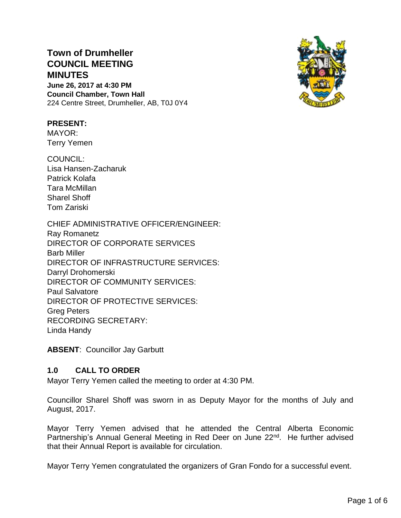# **Town of Drumheller COUNCIL MEETING MINUTES June 26, 2017 at 4:30 PM**

**Council Chamber, Town Hall** 224 Centre Street, Drumheller, AB, T0J 0Y4



### **PRESENT:**

MAYOR: Terry Yemen

COUNCIL: Lisa Hansen-Zacharuk Patrick Kolafa Tara McMillan Sharel Shoff Tom Zariski

CHIEF ADMINISTRATIVE OFFICER/ENGINEER: Ray Romanetz DIRECTOR OF CORPORATE SERVICES Barb Miller DIRECTOR OF INFRASTRUCTURE SERVICES: Darryl Drohomerski DIRECTOR OF COMMUNITY SERVICES: Paul Salvatore DIRECTOR OF PROTECTIVE SERVICES: Greg Peters RECORDING SECRETARY: Linda Handy

**ABSENT**: Councillor Jay Garbutt

## **1.0 CALL TO ORDER**

Mayor Terry Yemen called the meeting to order at 4:30 PM.

Councillor Sharel Shoff was sworn in as Deputy Mayor for the months of July and August, 2017.

Mayor Terry Yemen advised that he attended the Central Alberta Economic Partnership's Annual General Meeting in Red Deer on June 22<sup>nd</sup>. He further advised that their Annual Report is available for circulation.

Mayor Terry Yemen congratulated the organizers of Gran Fondo for a successful event.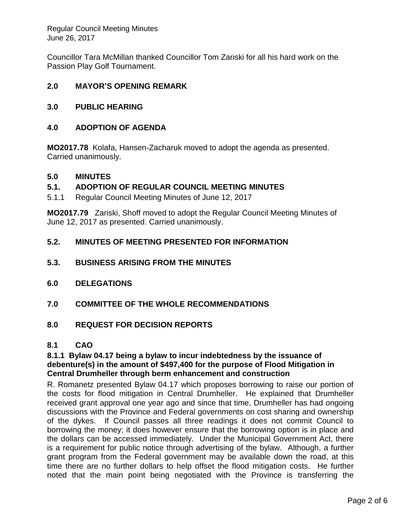Regular Council Meeting Minutes June 26, 2017

Councillor Tara McMillan thanked Councillor Tom Zariski for all his hard work on the Passion Play Golf Tournament.

### **2.0 MAYOR'S OPENING REMARK**

#### **3.0 PUBLIC HEARING**

#### **4.0 ADOPTION OF AGENDA**

**MO2017.78** Kolafa, Hansen-Zacharuk moved to adopt the agenda as presented. Carried unanimously.

#### **5.0 MINUTES**

#### **5.1. ADOPTION OF REGULAR COUNCIL MEETING MINUTES**

5.1.1 Regular Council Meeting Minutes of June 12, 2017

**MO2017.79** Zariski, Shoff moved to adopt the Regular Council Meeting Minutes of June 12, 2017 as presented. Carried unanimously.

### **5.2. MINUTES OF MEETING PRESENTED FOR INFORMATION**

- **5.3. BUSINESS ARISING FROM THE MINUTES**
- **6.0 DELEGATIONS**
- **7.0 COMMITTEE OF THE WHOLE RECOMMENDATIONS**

#### **8.0 REQUEST FOR DECISION REPORTS**

#### **8.1 CAO**

#### **8.1.1 Bylaw 04.17 being a bylaw to incur indebtedness by the issuance of debenture(s) in the amount of \$497,400 for the purpose of Flood Mitigation in Central Drumheller through berm enhancement and construction**

R. Romanetz presented Bylaw 04.17 which proposes borrowing to raise our portion of the costs for flood mitigation in Central Drumheller. He explained that Drumheller received grant approval one year ago and since that time, Drumheller has had ongoing discussions with the Province and Federal governments on cost sharing and ownership of the dykes. If Council passes all three readings it does not commit Council to borrowing the money; it does however ensure that the borrowing option is in place and the dollars can be accessed immediately. Under the Municipal Government Act, there is a requirement for public notice through advertising of the bylaw. Although, a further grant program from the Federal government may be available down the road, at this time there are no further dollars to help offset the flood mitigation costs. He further noted that the main point being negotiated with the Province is transferring the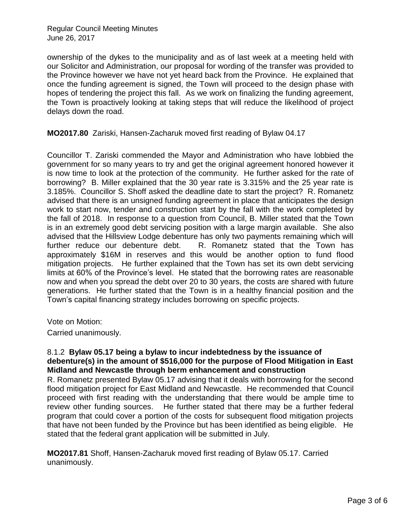ownership of the dykes to the municipality and as of last week at a meeting held with our Solicitor and Administration, our proposal for wording of the transfer was provided to the Province however we have not yet heard back from the Province. He explained that once the funding agreement is signed, the Town will proceed to the design phase with hopes of tendering the project this fall. As we work on finalizing the funding agreement, the Town is proactively looking at taking steps that will reduce the likelihood of project delays down the road.

**MO2017.80** Zariski, Hansen-Zacharuk moved first reading of Bylaw 04.17

Councillor T. Zariski commended the Mayor and Administration who have lobbied the government for so many years to try and get the original agreement honored however it is now time to look at the protection of the community. He further asked for the rate of borrowing? B. Miller explained that the 30 year rate is 3.315% and the 25 year rate is 3.185%. Councillor S. Shoff asked the deadline date to start the project? R. Romanetz advised that there is an unsigned funding agreement in place that anticipates the design work to start now, tender and construction start by the fall with the work completed by the fall of 2018. In response to a question from Council, B. Miller stated that the Town is in an extremely good debt servicing position with a large margin available. She also advised that the Hillsview Lodge debenture has only two payments remaining which will further reduce our debenture debt. R. Romanetz stated that the Town has approximately \$16M in reserves and this would be another option to fund flood mitigation projects. He further explained that the Town has set its own debt servicing limits at 60% of the Province's level. He stated that the borrowing rates are reasonable now and when you spread the debt over 20 to 30 years, the costs are shared with future generations. He further stated that the Town is in a healthy financial position and the Town's capital financing strategy includes borrowing on specific projects.

Vote on Motion:

Carried unanimously.

#### 8.1.2 **Bylaw 05.17 being a bylaw to incur indebtedness by the issuance of debenture(s) in the amount of \$516,000 for the purpose of Flood Mitigation in East Midland and Newcastle through berm enhancement and construction**

R. Romanetz presented Bylaw 05.17 advising that it deals with borrowing for the second flood mitigation project for East Midland and Newcastle. He recommended that Council proceed with first reading with the understanding that there would be ample time to review other funding sources. He further stated that there may be a further federal program that could cover a portion of the costs for subsequent flood mitigation projects that have not been funded by the Province but has been identified as being eligible. He stated that the federal grant application will be submitted in July.

**MO2017.81** Shoff, Hansen-Zacharuk moved first reading of Bylaw 05.17. Carried unanimously.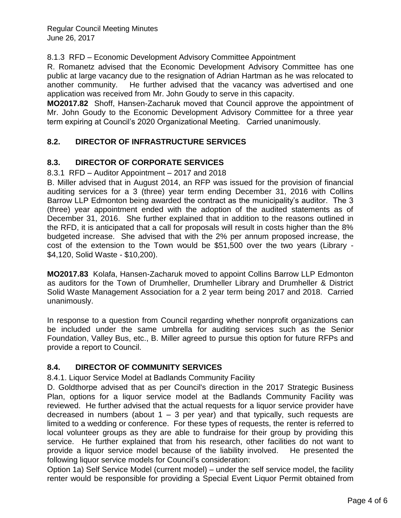#### 8.1.3 RFD – Economic Development Advisory Committee Appointment

R. Romanetz advised that the Economic Development Advisory Committee has one public at large vacancy due to the resignation of Adrian Hartman as he was relocated to another community. He further advised that the vacancy was advertised and one application was received from Mr. John Goudy to serve in this capacity.

**MO2017.82** Shoff, Hansen-Zacharuk moved that Council approve the appointment of Mr. John Goudy to the Economic Development Advisory Committee for a three year term expiring at Council's 2020 Organizational Meeting. Carried unanimously.

## **8.2. DIRECTOR OF INFRASTRUCTURE SERVICES**

### **8.3. DIRECTOR OF CORPORATE SERVICES**

8.3.1 RFD – Auditor Appointment – 2017 and 2018

B. Miller advised that in August 2014, an RFP was issued for the provision of financial auditing services for a 3 (three) year term ending December 31, 2016 with Collins Barrow LLP Edmonton being awarded the contract as the municipality's auditor. The 3 (three) year appointment ended with the adoption of the audited statements as of December 31, 2016. She further explained that in addition to the reasons outlined in the RFD, it is anticipated that a call for proposals will result in costs higher than the 8% budgeted increase. She advised that with the 2% per annum proposed increase, the cost of the extension to the Town would be \$51,500 over the two years (Library - \$4,120, Solid Waste - \$10,200).

**MO2017.83** Kolafa, Hansen-Zacharuk moved to appoint Collins Barrow LLP Edmonton as auditors for the Town of Drumheller, Drumheller Library and Drumheller & District Solid Waste Management Association for a 2 year term being 2017 and 2018. Carried unanimously.

In response to a question from Council regarding whether nonprofit organizations can be included under the same umbrella for auditing services such as the Senior Foundation, Valley Bus, etc., B. Miller agreed to pursue this option for future RFPs and provide a report to Council.

## **8.4. DIRECTOR OF COMMUNITY SERVICES**

8.4.1. Liquor Service Model at Badlands Community Facility

D. Goldthorpe advised that as per Council's direction in the 2017 Strategic Business Plan, options for a liquor service model at the Badlands Community Facility was reviewed. He further advised that the actual requests for a liquor service provider have decreased in numbers (about  $1 - 3$  per year) and that typically, such requests are limited to a wedding or conference. For these types of requests, the renter is referred to local volunteer groups as they are able to fundraise for their group by providing this service. He further explained that from his research, other facilities do not want to provide a liquor service model because of the liability involved. He presented the following liquor service models for Council's consideration:

Option 1a) Self Service Model (current model) – under the self service model, the facility renter would be responsible for providing a Special Event Liquor Permit obtained from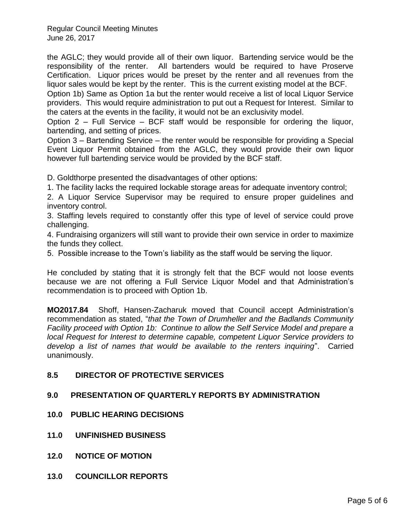Regular Council Meeting Minutes June 26, 2017

the AGLC; they would provide all of their own liquor. Bartending service would be the responsibility of the renter. All bartenders would be required to have Proserve Certification. Liquor prices would be preset by the renter and all revenues from the liquor sales would be kept by the renter. This is the current existing model at the BCF.

Option 1b) Same as Option 1a but the renter would receive a list of local Liquor Service providers. This would require administration to put out a Request for Interest. Similar to the caters at the events in the facility, it would not be an exclusivity model.

Option 2 – Full Service – BCF staff would be responsible for ordering the liquor, bartending, and setting of prices.

Option 3 – Bartending Service – the renter would be responsible for providing a Special Event Liquor Permit obtained from the AGLC, they would provide their own liquor however full bartending service would be provided by the BCF staff.

D. Goldthorpe presented the disadvantages of other options:

1. The facility lacks the required lockable storage areas for adequate inventory control;

2. A Liquor Service Supervisor may be required to ensure proper guidelines and inventory control.

3. Staffing levels required to constantly offer this type of level of service could prove challenging.

4. Fundraising organizers will still want to provide their own service in order to maximize the funds they collect.

5. Possible increase to the Town's liability as the staff would be serving the liquor.

He concluded by stating that it is strongly felt that the BCF would not loose events because we are not offering a Full Service Liquor Model and that Administration's recommendation is to proceed with Option 1b.

**MO2017.84** Shoff, Hansen-Zacharuk moved that Council accept Administration's recommendation as stated, "*that the Town of Drumheller and the Badlands Community Facility proceed with Option 1b: Continue to allow the Self Service Model and prepare a local Request for Interest to determine capable, competent Liquor Service providers to develop a list of names that would be available to the renters inquiring*". Carried unanimously.

## **8.5 DIRECTOR OF PROTECTIVE SERVICES**

## **9.0 PRESENTATION OF QUARTERLY REPORTS BY ADMINISTRATION**

- **10.0 PUBLIC HEARING DECISIONS**
- **11.0 UNFINISHED BUSINESS**
- **12.0 NOTICE OF MOTION**
- **13.0 COUNCILLOR REPORTS**